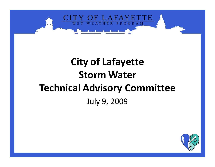

## **City of Lafayette Storm Water Technical Advisory Committee**July 9, 2009

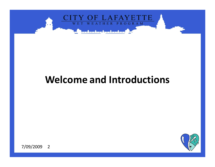

## **Welcome and Introductions**

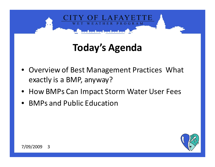

## **Today's Agenda**

- Overview of Best Management Practices What exactly is a BMP, anyway?
- How BMPs Can Impact Storm Water User Fees
- •BMPs and Public Education

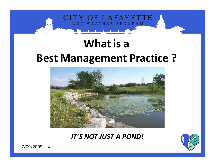

# **What is a Best Management Practice ?**



*IT'S NOT JUST A POND!*

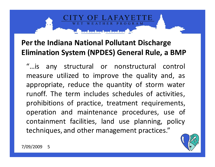#### **Per the Indiana National Pollutant Discharge Elimination System (NPDES) General Rule, a BMP**

**ROGRAM** 

"…is any structural or nonstructural control measure utilized to improve the quality and, as appropriate, reduce the quantity of storm water runoff. The term includes schedules of activities, prohibitions of practice, treatment requirements, operation and maintenance procedures, use of containment facilities, land use planning, policy techniques, and other management practices."

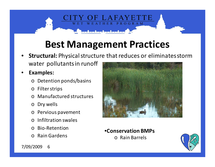## **Best Management Practices**

THER PROGRAM

- • **Structural:** Physical structure that reduces or eliminates stormwater pollutants in runoff
- • **Examples:**
	- o Detention ponds/basins
	- o Filter strips
	- o Manufactured structures
	- o Dry wells
	- o Pervious pavement
	- $\Omega$ Infiltration swales
	- oBio-Retention
	- o Rain Gardens



•**Conservation BMPs**

o Rain Barrels

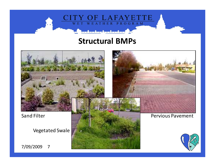

#### **Structural BMPs**

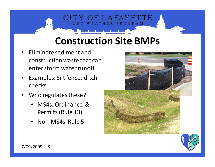## **Construction Site BMPs**

 $LAFA$ 

ATHER PROGRAM

- • Eliminate sediment and construction waste that can enter storm water runoff
- • Examples: Silt fence, ditch checks
- • Who regulates these?
	- MS4s: Ordinance & Permits (Rule 13)
	- Non-MS4s: Rule 5



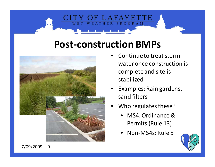## **Post-construction BMPs**

 $LAFA$ 

THER PROGRAM



- • Continue to treat storm water once construction is complete and site is stabilized
- • Examples: Rain gardens, sand filters
- • Who regulates these?
	- MS4: Ordinance & Permits (Rule 13)
	- Non-MS4s: Rule 5

![](_page_8_Picture_7.jpeg)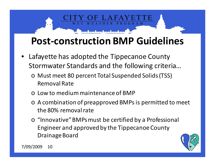## **Post-construction BMP Guidelines**

**ROGRAM** 

- Lafayette has adopted the Tippecanoe County Stormwater Standards and the following criteria…
	- o Must meet 80 percent Total Suspended Solids (TSS) Removal Rate
	- o Low to medium maintenance of BMP
	- o A combination of preapproved BMPs is permitted to meet the 80% removal rate
	- o "Innovative" BMPs must be certified by a Professional Engineer and approved by the Tippecanoe County Drainage Board

![](_page_9_Picture_6.jpeg)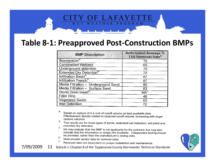![](_page_10_Picture_0.jpeg)

#### **Table 8-1: Preapproved Post-Construction BMPs**

| <b>BMP Description</b>              | <b>Anticipated Average %</b><br><b>TSS Removal Rate</b> |
|-------------------------------------|---------------------------------------------------------|
| Bioretention <sup>A</sup>           | 75                                                      |
| <b>Constructed Wetland</b>          | 65                                                      |
| Underground detention               |                                                         |
| Extended Dry Detention <sup>B</sup> | 72                                                      |
| Infiltration Basin <sup>A</sup>     |                                                         |
| Infiltration Trench <sup>A</sup>    | 87                                                      |
| Media Filtration - Underground Sand | 80                                                      |
| Media Filtration - Surface Sand     | 83                                                      |
| Storm Drain Insert <sup>D</sup>     | ΝA                                                      |
| <b>Filter Strip</b>                 | 48                                                      |
| Vegetated Swale                     | 60                                                      |
| Wet Detention                       | 72                                                      |

Α. Based on capture of 0.5-inch of runoff volume as best available data. Effectiveness directly related to captured runoff volume, increasing with larger capture volumes. Β.

- Test results are for three types of ponds: extended wet detention, wet pond and extended dry detention
- C. NA may indicate that the BMP is not applicable for the pollutant, but may also indicate that the information is simply Not Available. Independent testing should be provided, rather than the manufacturer's testing data.
- D. Must provide vendor data for removal rates. Ε.
	- Removal rates are dependent on proper installation and maintenance.

![](_page_10_Picture_8.jpeg)

7/09/2009 <sup>11</sup>Table 8-1: Chapter 8 of the Tippecanoe County Stormwater Technical Standards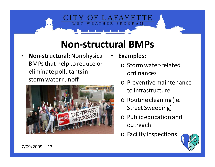## **Non-structural BMPs**

THER

• **Non-structural:** Nonphysical BMPs that help to reduce or eliminate pollutants in storm water runoff

![](_page_11_Picture_2.jpeg)

•**Examples:** 

PROGRAM

- o Storm water-related ordinances
- o Preventive maintenance to infrastructure
- o Routine cleaning (ie. Street Sweeping)
- o Public education and outreach
- o Facility Inspections

![](_page_11_Picture_9.jpeg)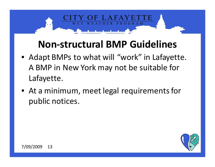## **Non-structural BMP Guidelines**

**ROGRAM** 

- Adapt BMPs to what will "work" in Lafayette. A BMP in New York may not be suitable for Lafayette.
- At a minimum, meet legal requirements for public notices.

![](_page_12_Picture_3.jpeg)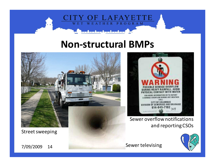![](_page_13_Picture_0.jpeg)

#### **Non-structural BMPs**

![](_page_13_Picture_2.jpeg)

Street sweeping

7/09/2009 <sup>14</sup>

![](_page_13_Picture_5.jpeg)

Sewer overflow notifications and reporting CSOs

![](_page_13_Picture_7.jpeg)

Sewer televising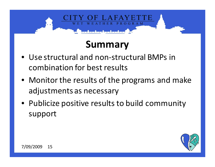## **Summary**

**ROGRAM** 

- Use structural and non-structural BMPs in combination for best results
- Monitor the results of the programs and make adjustments as necessary
- Publicize positive results to build community support

![](_page_14_Picture_4.jpeg)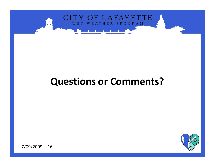![](_page_15_Picture_0.jpeg)

## **Questions or Comments?**

![](_page_15_Picture_2.jpeg)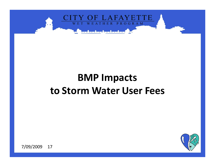![](_page_16_Picture_0.jpeg)

## **BMP Impacts to Storm Water User Fees**

![](_page_16_Picture_2.jpeg)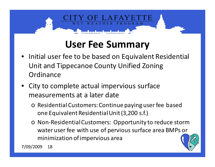![](_page_17_Picture_0.jpeg)

## **User Fee Summary**

- • Initial user fee to be based on Equivalent Residential Unit and Tippecanoe County Unified Zoning **Ordinance**
- • City to complete actual impervious surface measurements at a later date
	- o Residential Customers: Continue paying user fee based one Equivalent Residential Unit (3,200 s.f.)
	- o Non-Residential Customers: Opportunity to reduce storm water user fee with use of pervious surface area BMPs or minimization of impervious area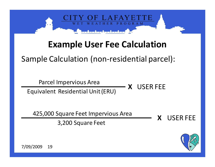![](_page_18_Picture_0.jpeg)

## **Example User Fee Calculation**

#### Sample Calculation (non-residential parcel):

Parcel Impervious Area

Equivalent Residential Unit (ERU)

425,000 Square Feet Impervious Area

3,200 Square Feet

**X**USER FEE

**X** USER FEE

![](_page_18_Picture_7.jpeg)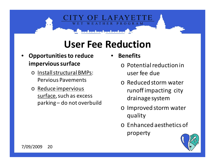## **User Fee Reduction**

- • **Opportunities to reduce impervious surface**
	- o Install structural BMPs: Pervious Pavements
	- o Reduce impervious surface, such as excess parking – do not overbuild

•**Benefits**

PROGRAM

- o Potential reduction in user fee due
- o Reduced storm water runoff impacting city drainage system
- o Improved storm water quality
- o Enhanced aesthetics of property

![](_page_19_Picture_9.jpeg)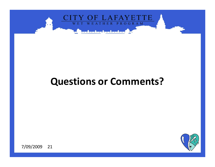![](_page_20_Picture_0.jpeg)

## **Questions or Comments?**

![](_page_20_Picture_2.jpeg)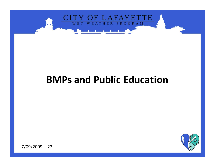![](_page_21_Picture_0.jpeg)

## **BMPs and Public Education**

![](_page_21_Picture_2.jpeg)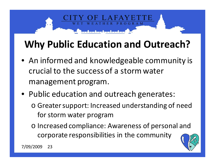## **Why Public Education and Outreach?**

OGRAM

- An informed and knowledgeable community is crucial to the success of a storm water management program.
- Public education and outreach generates:
	- o Greater support: Increased understanding of need for storm water program
	- o Increased compliance: Awareness of personal and corporate responsibilities in the community

![](_page_22_Picture_5.jpeg)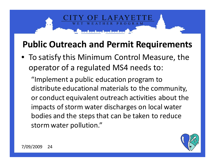## **Public Outreach and Permit Requirements**

OGRAM

• To satisfy this Minimum Control Measure, the operator of a regulated MS4 needs to:

"Implement a public education program to distribute educational materials to the community, or conduct equivalent outreach activities about theimpacts of storm water discharges on local water bodies and the steps that can be taken to reduce storm water pollution."

![](_page_23_Picture_3.jpeg)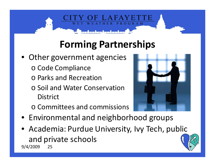## **Forming Partnerships**

**ROGRAM** 

- Other government agencies
	- o Code Compliance
	- o Parks and Recreation
	- o Soil and Water Conservation **District**
	- o Committees and commissions

![](_page_24_Picture_6.jpeg)

- Environmental and neighborhood groups
- Academia: Purdue University, Ivy Tech, public and private schools9/4/2009 <sup>25</sup>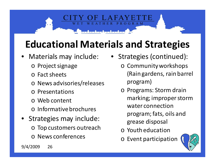## **Educational Materials and Strategies**

•

PROGRAM

- • Materials may include:
	- o Project signage
	- o Fact sheets
	- o News advisories/releases
	- o Presentations
	- o Web content
	- o Informative brochures
- • Strategies may include:
	- o Top customers outreach
	- o News conferences
- Strategies (continued): o Community workshops (Rain gardens, rain barrel program)
	- o Programs: Storm drain marking; improper storm water connection program; fats, oils and grease disposal
	- o Youth education
	- o Event participation

![](_page_25_Picture_15.jpeg)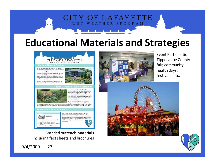![](_page_26_Picture_0.jpeg)

## **Educational Materials and Strategies**

![](_page_26_Picture_2.jpeg)

Branded outreach materials including fact sheets and brochures

![](_page_26_Picture_4.jpeg)

Event Participation: Tippecanoe County fair, community health days, festivals, etc.

![](_page_26_Picture_6.jpeg)

![](_page_26_Picture_7.jpeg)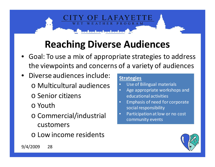## **Reaching Diverse Audiences**

HER

- Goal: To use a mix of appropriate strategies to address the viewpoints and concerns of a variety of audiences
- • Diverse audiences include:
	- o Multicultural audiences
	- o Senior citizens
	- o Youth
	- o Commercial/industrial customers
	- o Low income residents

#### **Strategies**

PROGRAM

- Use of Bilingual materials $\bullet$
- Age appropriate workshops and  $\bullet$ educational activities
- Emphasis of need for corporate •social responsibility
- Participation at low or no cost  $\bullet$ community events

![](_page_27_Picture_13.jpeg)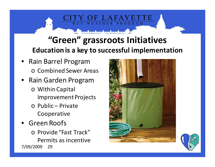## **"Green" grassroots InitiativesEducation is a key to successful implementation**

ATHER PROGRAM

- Rain Barrel Programo Combined Sewer Areas
- • Rain Garden Program
	- o Within Capital Improvement Projects
	- o Public Private Cooperative
- •Green Roofs
- o Provide "Fast Track" Permits as incentive7/09/2009 <sup>29</sup>

![](_page_28_Picture_7.jpeg)

![](_page_28_Picture_8.jpeg)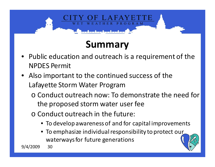# OGRAM

## **Summary**

- • Public education and outreach is a requirement of the NPDES Permit
- Also important to the continued success of the Lafayette Storm Water Program
	- o Conduct outreach now: To demonstrate the need for the proposed storm water user fee
	- o Conduct outreach in the future:
		- To develop awareness of and for capital improvements
		- To emphasize individual responsibility to protect our waterways for future generations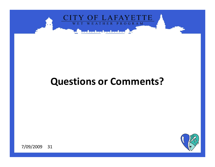![](_page_30_Picture_0.jpeg)

## **Questions or Comments?**

![](_page_30_Picture_2.jpeg)